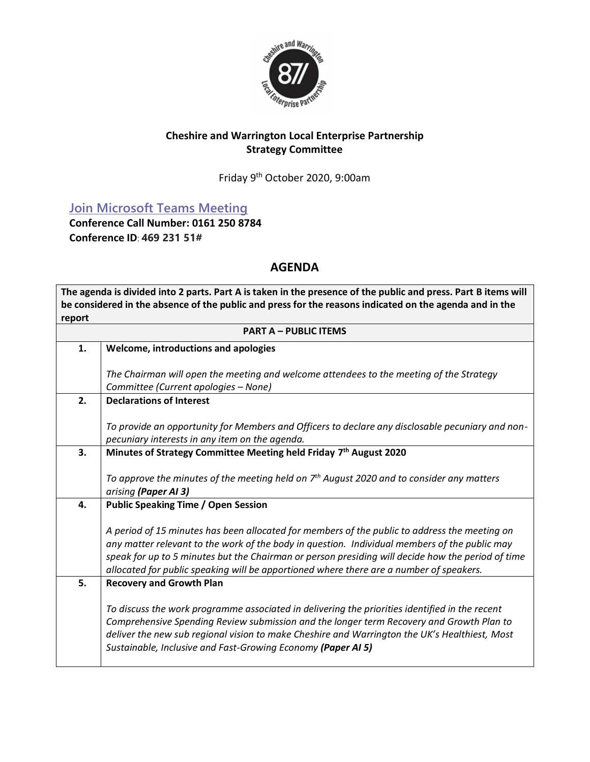

## **Cheshire and Warrington Local Enterprise Partnership Strategy Committee**

Friday 9<sup>th</sup> October 2020, 9:00am

# **[Join Microsoft Teams Meeting](https://teams.microsoft.com/l/meetup-join/19%3ameeting_Y2NkMGFjNDEtZDQyMy00NDEzLTk2N2MtZDZiYWVmNjE3M2Ey%40thread.v2/0?context=%7b%22Tid%22%3a%229fdc30f0-07e8-4ece-96e4-5daef8d479d1%22%2c%22Oid%22%3a%2278369528-111b-4526-9963-8ac55e1e0d7c%22%7d)**

**Conference Call Number: 0161 250 8784 Conference ID**: **469 231 51#**

## **AGENDA**

**The agenda is divided into 2 parts. Part A is taken in the presence of the public and press. Part B items will be considered in the absence of the public and press for the reasons indicated on the agenda and in the report**

|    | <b>PART A - PUBLIC ITEMS</b>                                                                                                                                                                   |  |  |  |  |  |  |  |
|----|------------------------------------------------------------------------------------------------------------------------------------------------------------------------------------------------|--|--|--|--|--|--|--|
| 1. | Welcome, introductions and apologies                                                                                                                                                           |  |  |  |  |  |  |  |
|    |                                                                                                                                                                                                |  |  |  |  |  |  |  |
|    | The Chairman will open the meeting and welcome attendees to the meeting of the Strategy                                                                                                        |  |  |  |  |  |  |  |
|    | Committee (Current apologies - None)                                                                                                                                                           |  |  |  |  |  |  |  |
| 2. | <b>Declarations of Interest</b>                                                                                                                                                                |  |  |  |  |  |  |  |
|    | To provide an opportunity for Members and Officers to declare any disclosable pecuniary and non-                                                                                               |  |  |  |  |  |  |  |
|    | pecuniary interests in any item on the agenda.                                                                                                                                                 |  |  |  |  |  |  |  |
| 3. | Minutes of Strategy Committee Meeting held Friday 7th August 2020                                                                                                                              |  |  |  |  |  |  |  |
|    |                                                                                                                                                                                                |  |  |  |  |  |  |  |
|    | To approve the minutes of the meeting held on $7th$ August 2020 and to consider any matters                                                                                                    |  |  |  |  |  |  |  |
|    | arising (Paper AI 3)                                                                                                                                                                           |  |  |  |  |  |  |  |
| 4. | <b>Public Speaking Time / Open Session</b>                                                                                                                                                     |  |  |  |  |  |  |  |
|    |                                                                                                                                                                                                |  |  |  |  |  |  |  |
|    | A period of 15 minutes has been allocated for members of the public to address the meeting on<br>any matter relevant to the work of the body in question. Individual members of the public may |  |  |  |  |  |  |  |
|    | speak for up to 5 minutes but the Chairman or person presiding will decide how the period of time                                                                                              |  |  |  |  |  |  |  |
|    | allocated for public speaking will be apportioned where there are a number of speakers.                                                                                                        |  |  |  |  |  |  |  |
| 5. | <b>Recovery and Growth Plan</b>                                                                                                                                                                |  |  |  |  |  |  |  |
|    |                                                                                                                                                                                                |  |  |  |  |  |  |  |
|    | To discuss the work programme associated in delivering the priorities identified in the recent                                                                                                 |  |  |  |  |  |  |  |
|    | Comprehensive Spending Review submission and the longer term Recovery and Growth Plan to                                                                                                       |  |  |  |  |  |  |  |
|    | deliver the new sub regional vision to make Cheshire and Warrington the UK's Healthiest, Most                                                                                                  |  |  |  |  |  |  |  |
|    | Sustainable, Inclusive and Fast-Growing Economy (Paper AI 5)                                                                                                                                   |  |  |  |  |  |  |  |
|    |                                                                                                                                                                                                |  |  |  |  |  |  |  |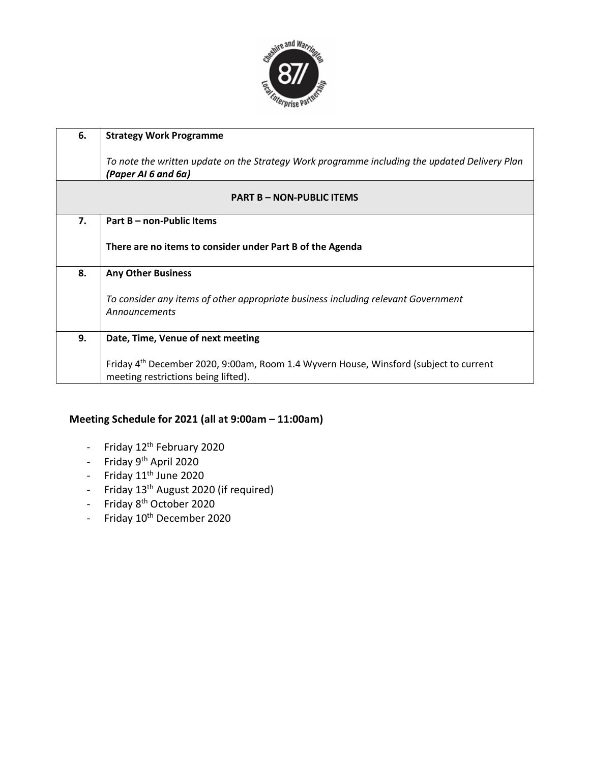

| 6. | <b>Strategy Work Programme</b>                                                                                                           |
|----|------------------------------------------------------------------------------------------------------------------------------------------|
|    | To note the written update on the Strategy Work programme including the updated Delivery Plan<br>(Paper AI 6 and 6a)                     |
|    | <b>PART B - NON-PUBLIC ITEMS</b>                                                                                                         |
| 7. | Part B – non-Public Items                                                                                                                |
|    | There are no items to consider under Part B of the Agenda                                                                                |
| 8. | <b>Any Other Business</b>                                                                                                                |
|    | To consider any items of other appropriate business including relevant Government<br>Announcements                                       |
| 9. | Date, Time, Venue of next meeting                                                                                                        |
|    | Friday 4 <sup>th</sup> December 2020, 9:00am, Room 1.4 Wyvern House, Winsford (subject to current<br>meeting restrictions being lifted). |

## **Meeting Schedule for 2021 (all at 9:00am – 11:00am)**

- Friday 12<sup>th</sup> February 2020
- Friday 9<sup>th</sup> April 2020
- Friday  $11<sup>th</sup>$  June 2020
- Friday 13<sup>th</sup> August 2020 (if required)
- Friday 8<sup>th</sup> October 2020
- Friday  $10^{th}$  December 2020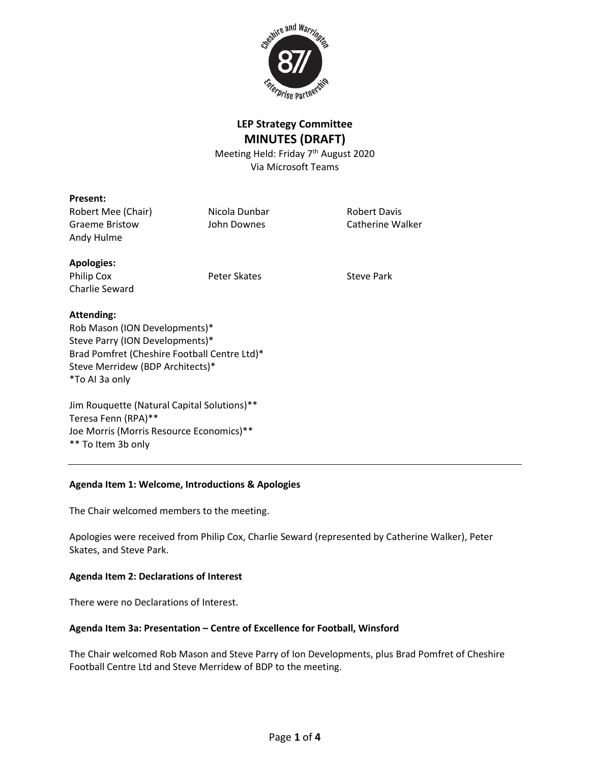

## **LEP Strategy Committee MINUTES (DRAFT)**

Meeting Held: Friday 7<sup>th</sup> August 2020 Via Microsoft Teams

## **Present:**

Robert Mee (Chair) Micola Dunbar Robert Davis Graeme Bristow **Graeme Bristow** John Downes **Catherine Walker** Andy Hulme

## **Apologies:**

Philip Cox **Peter Skates** Peter Skates Steve Park Charlie Seward

## **Attending:**

Rob Mason (ION Developments)\* Steve Parry (ION Developments)\* Brad Pomfret (Cheshire Football Centre Ltd)\* Steve Merridew (BDP Architects)\* \*To AI 3a only

Jim Rouquette (Natural Capital Solutions)\*\* Teresa Fenn (RPA)\*\* Joe Morris (Morris Resource Economics)\*\* \*\* To Item 3b only

### **Agenda Item 1: Welcome, Introductions & Apologies**

The Chair welcomed members to the meeting.

Apologies were received from Philip Cox, Charlie Seward (represented by Catherine Walker), Peter Skates, and Steve Park.

### **Agenda Item 2: Declarations of Interest**

There were no Declarations of Interest.

### **Agenda Item 3a: Presentation – Centre of Excellence for Football, Winsford**

The Chair welcomed Rob Mason and Steve Parry of Ion Developments, plus Brad Pomfret of Cheshire Football Centre Ltd and Steve Merridew of BDP to the meeting.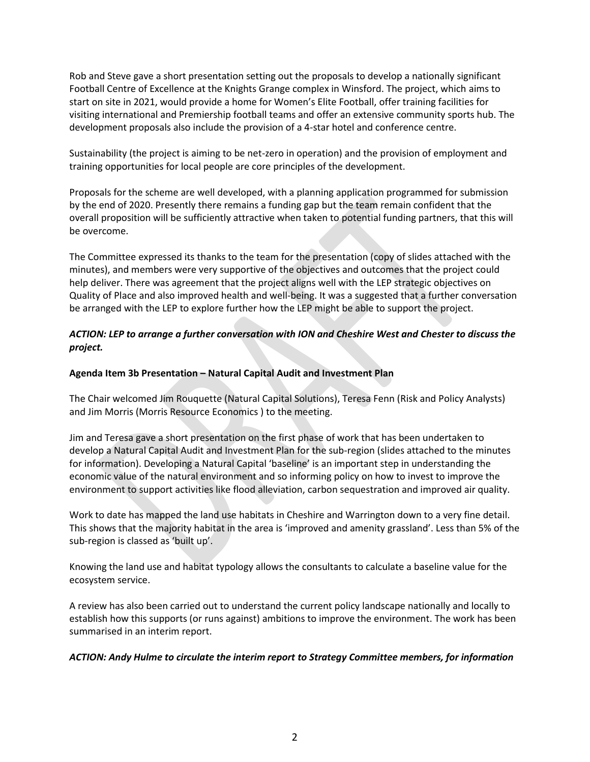Rob and Steve gave a short presentation setting out the proposals to develop a nationally significant Football Centre of Excellence at the Knights Grange complex in Winsford. The project, which aims to start on site in 2021, would provide a home for Women's Elite Football, offer training facilities for visiting international and Premiership football teams and offer an extensive community sports hub. The development proposals also include the provision of a 4-star hotel and conference centre.

Sustainability (the project is aiming to be net-zero in operation) and the provision of employment and training opportunities for local people are core principles of the development.

Proposals for the scheme are well developed, with a planning application programmed for submission by the end of 2020. Presently there remains a funding gap but the team remain confident that the overall proposition will be sufficiently attractive when taken to potential funding partners, that this will be overcome.

The Committee expressed its thanks to the team for the presentation (copy of slides attached with the minutes), and members were very supportive of the objectives and outcomes that the project could help deliver. There was agreement that the project aligns well with the LEP strategic objectives on Quality of Place and also improved health and well-being. It was a suggested that a further conversation be arranged with the LEP to explore further how the LEP might be able to support the project.

## *ACTION: LEP to arrange a further conversation with ION and Cheshire West and Chester to discuss the project.*

### **Agenda Item 3b Presentation – Natural Capital Audit and Investment Plan**

The Chair welcomed Jim Rouquette (Natural Capital Solutions), Teresa Fenn (Risk and Policy Analysts) and Jim Morris (Morris Resource Economics ) to the meeting.

Jim and Teresa gave a short presentation on the first phase of work that has been undertaken to develop a Natural Capital Audit and Investment Plan for the sub-region (slides attached to the minutes for information). Developing a Natural Capital 'baseline' is an important step in understanding the economic value of the natural environment and so informing policy on how to invest to improve the environment to support activities like flood alleviation, carbon sequestration and improved air quality.

Work to date has mapped the land use habitats in Cheshire and Warrington down to a very fine detail. This shows that the majority habitat in the area is 'improved and amenity grassland'. Less than 5% of the sub-region is classed as 'built up'.

Knowing the land use and habitat typology allows the consultants to calculate a baseline value for the ecosystem service.

A review has also been carried out to understand the current policy landscape nationally and locally to establish how this supports (or runs against) ambitions to improve the environment. The work has been summarised in an interim report.

### *ACTION: Andy Hulme to circulate the interim report to Strategy Committee members, for information*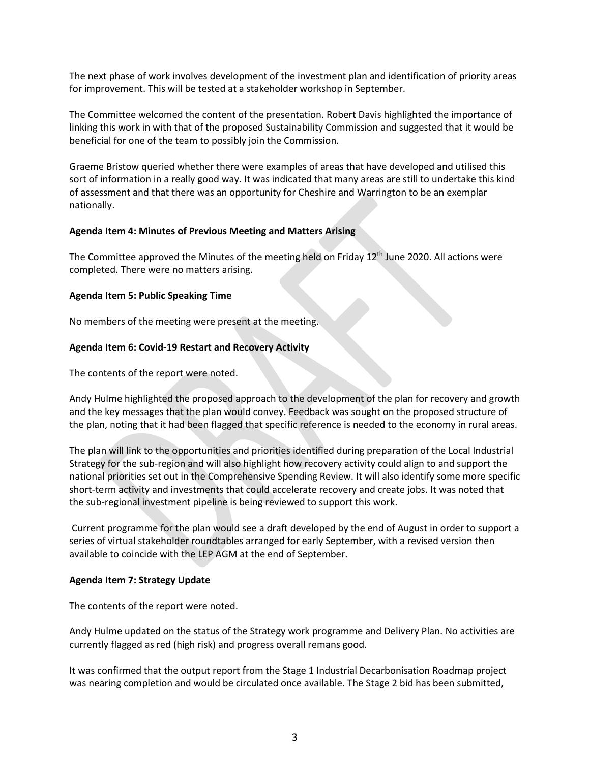The next phase of work involves development of the investment plan and identification of priority areas for improvement. This will be tested at a stakeholder workshop in September.

The Committee welcomed the content of the presentation. Robert Davis highlighted the importance of linking this work in with that of the proposed Sustainability Commission and suggested that it would be beneficial for one of the team to possibly join the Commission.

Graeme Bristow queried whether there were examples of areas that have developed and utilised this sort of information in a really good way. It was indicated that many areas are still to undertake this kind of assessment and that there was an opportunity for Cheshire and Warrington to be an exemplar nationally.

#### **Agenda Item 4: Minutes of Previous Meeting and Matters Arising**

The Committee approved the Minutes of the meeting held on Friday 12<sup>th</sup> June 2020. All actions were completed. There were no matters arising.

#### **Agenda Item 5: Public Speaking Time**

No members of the meeting were present at the meeting.

### **Agenda Item 6: Covid-19 Restart and Recovery Activity**

The contents of the report were noted.

Andy Hulme highlighted the proposed approach to the development of the plan for recovery and growth and the key messages that the plan would convey. Feedback was sought on the proposed structure of the plan, noting that it had been flagged that specific reference is needed to the economy in rural areas.

The plan will link to the opportunities and priorities identified during preparation of the Local Industrial Strategy for the sub-region and will also highlight how recovery activity could align to and support the national priorities set out in the Comprehensive Spending Review. It will also identify some more specific short-term activity and investments that could accelerate recovery and create jobs. It was noted that the sub-regional investment pipeline is being reviewed to support this work.

Current programme for the plan would see a draft developed by the end of August in order to support a series of virtual stakeholder roundtables arranged for early September, with a revised version then available to coincide with the LEP AGM at the end of September.

#### **Agenda Item 7: Strategy Update**

The contents of the report were noted.

Andy Hulme updated on the status of the Strategy work programme and Delivery Plan. No activities are currently flagged as red (high risk) and progress overall remans good.

It was confirmed that the output report from the Stage 1 Industrial Decarbonisation Roadmap project was nearing completion and would be circulated once available. The Stage 2 bid has been submitted,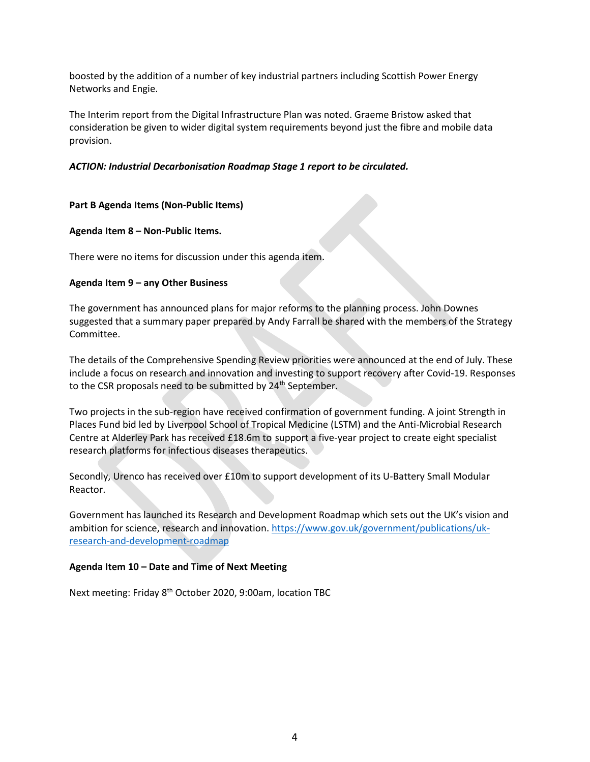boosted by the addition of a number of key industrial partners including Scottish Power Energy Networks and Engie.

The Interim report from the Digital Infrastructure Plan was noted. Graeme Bristow asked that consideration be given to wider digital system requirements beyond just the fibre and mobile data provision.

### *ACTION: Industrial Decarbonisation Roadmap Stage 1 report to be circulated.*

## **Part B Agenda Items (Non-Public Items)**

## **Agenda Item 8 – Non-Public Items.**

There were no items for discussion under this agenda item.

## **Agenda Item 9 – any Other Business**

The government has announced plans for major reforms to the planning process. John Downes suggested that a summary paper prepared by Andy Farrall be shared with the members of the Strategy Committee.

The details of the Comprehensive Spending Review priorities were announced at the end of July. These include a focus on research and innovation and investing to support recovery after Covid-19. Responses to the CSR proposals need to be submitted by 24<sup>th</sup> September.

Two projects in the sub-region have received confirmation of government funding. A joint Strength in Places Fund bid led by Liverpool School of Tropical Medicine (LSTM) and the Anti-Microbial Research Centre at Alderley Park has received £18.6m to support a five-year project to create eight specialist research platforms for infectious diseases therapeutics.

Secondly, Urenco has received over £10m to support development of its U-Battery Small Modular Reactor.

Government has launched its Research and Development Roadmap which sets out the UK's vision and ambition for science, research and innovation. [https://www.gov.uk/government/publications/uk](https://www.gov.uk/government/publications/uk-research-and-development-roadmap)[research-and-development-roadmap](https://www.gov.uk/government/publications/uk-research-and-development-roadmap)

### **Agenda Item 10 – Date and Time of Next Meeting**

Next meeting: Friday 8<sup>th</sup> October 2020, 9:00am, location TBC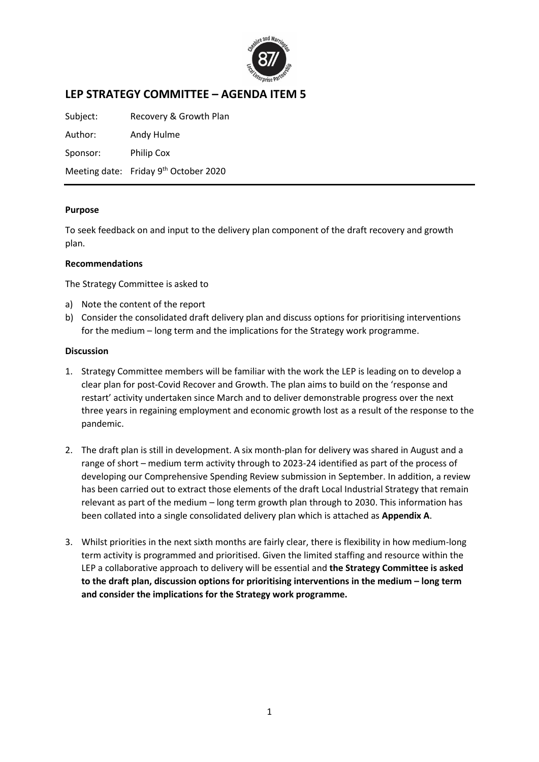

## **LEP STRATEGY COMMITTEE – AGENDA ITEM 5**

Subject: Recovery & Growth Plan Author: Andy Hulme Sponsor: Philip Cox Meeting date: Friday 9<sup>th</sup> October 2020

## **Purpose**

To seek feedback on and input to the delivery plan component of the draft recovery and growth plan.

## **Recommendations**

The Strategy Committee is asked to

- a) Note the content of the report
- b) Consider the consolidated draft delivery plan and discuss options for prioritising interventions for the medium – long term and the implications for the Strategy work programme.

### **Discussion**

- 1. Strategy Committee members will be familiar with the work the LEP is leading on to develop a clear plan for post-Covid Recover and Growth. The plan aims to build on the 'response and restart' activity undertaken since March and to deliver demonstrable progress over the next three years in regaining employment and economic growth lost as a result of the response to the pandemic.
- 2. The draft plan is still in development. A six month-plan for delivery was shared in August and a range of short – medium term activity through to 2023-24 identified as part of the process of developing our Comprehensive Spending Review submission in September. In addition, a review has been carried out to extract those elements of the draft Local Industrial Strategy that remain relevant as part of the medium – long term growth plan through to 2030. This information has been collated into a single consolidated delivery plan which is attached as **Appendix A**.
- 3. Whilst priorities in the next sixth months are fairly clear, there is flexibility in how medium-long term activity is programmed and prioritised. Given the limited staffing and resource within the LEP a collaborative approach to delivery will be essential and **the Strategy Committee is asked to the draft plan, discussion options for prioritising interventions in the medium – long term and consider the implications for the Strategy work programme.**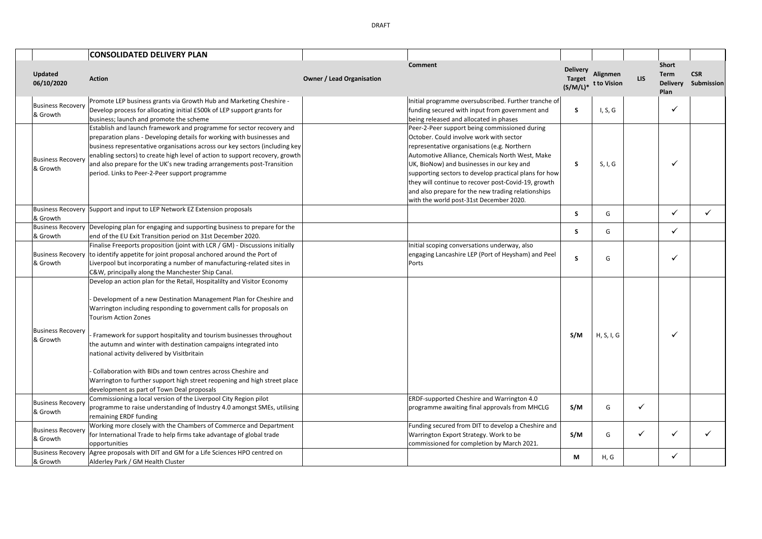|                                      | <b>CONSOLIDATED DELIVERY PLAN</b>                                                                                                                                                                                                                                                                                                                                                                                                                                                                                                                                                                                                        |                                  |                                                                                                                                                                                                                                                                                                                                                                                                                                                          |                                                 |                         |              |                                                        |                          |
|--------------------------------------|------------------------------------------------------------------------------------------------------------------------------------------------------------------------------------------------------------------------------------------------------------------------------------------------------------------------------------------------------------------------------------------------------------------------------------------------------------------------------------------------------------------------------------------------------------------------------------------------------------------------------------------|----------------------------------|----------------------------------------------------------------------------------------------------------------------------------------------------------------------------------------------------------------------------------------------------------------------------------------------------------------------------------------------------------------------------------------------------------------------------------------------------------|-------------------------------------------------|-------------------------|--------------|--------------------------------------------------------|--------------------------|
| Updated<br>06/10/2020                | <b>Action</b>                                                                                                                                                                                                                                                                                                                                                                                                                                                                                                                                                                                                                            | <b>Owner / Lead Organisation</b> | Comment                                                                                                                                                                                                                                                                                                                                                                                                                                                  | <b>Delivery</b><br><b>Target</b><br>$(S/M/L)^*$ | Alignmen<br>t to Vision | <b>LIS</b>   | <b>Short</b><br><b>Term</b><br><b>Delivery</b><br>Plan | <b>CSR</b><br>Submission |
| <b>Business Recovery</b><br>& Growth | Promote LEP business grants via Growth Hub and Marketing Cheshire -<br>Develop process for allocating initial £500k of LEP support grants for<br>business; launch and promote the scheme                                                                                                                                                                                                                                                                                                                                                                                                                                                 |                                  | Initial programme oversubscribed. Further tranche of<br>funding secured with input from government and<br>being released and allocated in phases                                                                                                                                                                                                                                                                                                         | S                                               | I, S, G                 |              | ✓                                                      |                          |
| <b>Business Recovery</b><br>& Growth | Establish and launch framework and programme for sector recovery and<br>preparation plans - Developing details for working with businesses and<br>business representative organisations across our key sectors (including key<br>enabling sectors) to create high level of action to support recovery, growth<br>and also prepare for the UK's new trading arrangements post-Transition<br>period. Links to Peer-2-Peer support programme                                                                                                                                                                                                |                                  | Peer-2-Peer support being commissioned during<br>October. Could involve work with sector<br>representative organisations (e.g. Northern<br>Automotive Alliance, Chemicals North West, Make<br>UK, BioNow) and businesses in our key and<br>supporting sectors to develop practical plans for how<br>they will continue to recover post-Covid-19, growth<br>and also prepare for the new trading relationships<br>with the world post-31st December 2020. | S                                               | S, I, G                 |              | ✓                                                      |                          |
| & Growth                             | Business Recovery Support and input to LEP Network EZ Extension proposals                                                                                                                                                                                                                                                                                                                                                                                                                                                                                                                                                                |                                  |                                                                                                                                                                                                                                                                                                                                                                                                                                                          | S.                                              | G                       |              | ✓                                                      | ✓                        |
| & Growth                             | Business Recovery Developing plan for engaging and supporting business to prepare for the<br>end of the EU Exit Transition period on 31st December 2020.                                                                                                                                                                                                                                                                                                                                                                                                                                                                                 |                                  |                                                                                                                                                                                                                                                                                                                                                                                                                                                          | S.                                              | G                       |              | ✓                                                      |                          |
| <b>Business Recovery</b><br>& Growth | Finalise Freeports proposition (joint with LCR / GM) - Discussions initially<br>to identify appetite for joint proposal anchored around the Port of<br>Liverpool but incorporating a number of manufacturing-related sites in<br>C&W, principally along the Manchester Ship Canal.                                                                                                                                                                                                                                                                                                                                                       |                                  | Initial scoping conversations underway, also<br>engaging Lancashire LEP (Port of Heysham) and Peel<br>Ports                                                                                                                                                                                                                                                                                                                                              | S                                               | G                       |              | ✓                                                      |                          |
| <b>Business Recovery</b><br>& Growth | Develop an action plan for the Retail, Hospitalilty and Visitor Economy<br>Development of a new Destination Management Plan for Cheshire and<br>Warrington including responding to government calls for proposals on<br><b>Tourism Action Zones</b><br>Framework for support hospitality and tourism businesses throughout<br>the autumn and winter with destination campaigns integrated into<br>national activity delivered by Visitbritain<br>Collaboration with BIDs and town centres across Cheshire and<br>Warrington to further support high street reopening and high street place<br>development as part of Town Deal proposals |                                  |                                                                                                                                                                                                                                                                                                                                                                                                                                                          | S/M                                             | H, S, I, G              |              | ✓                                                      |                          |
| <b>Business Recovery</b><br>& Growth | Commissioning a local version of the Liverpool City Region pilot<br>programme to raise understanding of Industry 4.0 amongst SMEs, utilising<br>remaining ERDF funding                                                                                                                                                                                                                                                                                                                                                                                                                                                                   |                                  | ERDF-supported Cheshire and Warrington 4.0<br>programme awaiting final approvals from MHCLG                                                                                                                                                                                                                                                                                                                                                              | S/M                                             | G                       | $\checkmark$ |                                                        |                          |
| <b>Business Recovery</b><br>& Growth | Working more closely with the Chambers of Commerce and Department<br>for International Trade to help firms take advantage of global trade<br>opportunities                                                                                                                                                                                                                                                                                                                                                                                                                                                                               |                                  | Funding secured from DIT to develop a Cheshire and<br>Warrington Export Strategy. Work to be<br>commissioned for completion by March 2021.                                                                                                                                                                                                                                                                                                               | S/M                                             | G                       | $\checkmark$ | ✓                                                      |                          |
| <b>Business Recovery</b><br>& Growth | Agree proposals with DIT and GM for a Life Sciences HPO centred on<br>Alderley Park / GM Health Cluster                                                                                                                                                                                                                                                                                                                                                                                                                                                                                                                                  |                                  |                                                                                                                                                                                                                                                                                                                                                                                                                                                          | М                                               | H, G                    |              | ✓                                                      |                          |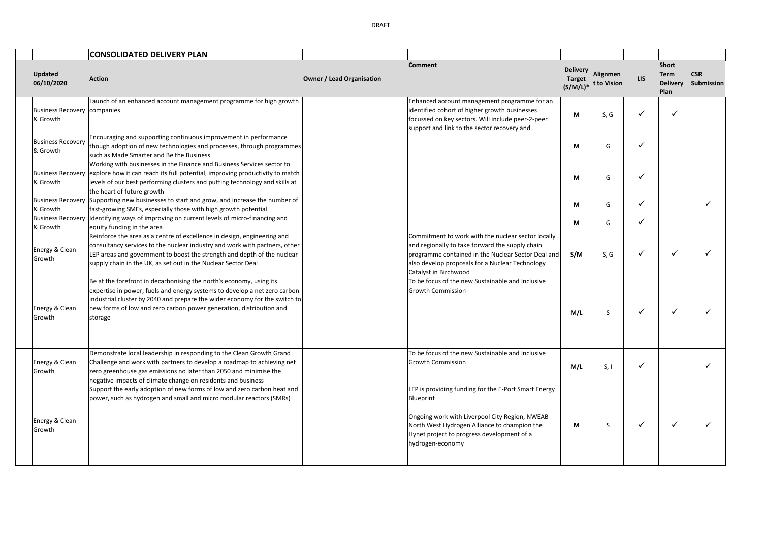**CONSOLIDATED DELIVERY PLAN Updated 06/10/2020 Action Owner / Lead Organisation Comment Delivery Target (S/M/L)\* t to Vision LIS Alignmen Short Term Delivery Submission Plan CSR**  Business Recovery companies & Growth Launch of an enhanced account management programme for high growth Enhanced account management programme for an identified cohort of higher growth businesses focussed on key sectors. Will include peer-2-peer support and link to the sector recovery and **M** S,G  $\checkmark$ Business Recovery & Growth Encouraging and supporting continuous improvement in performance though adoption of new technologies and processes, through programmes such as Made Smarter and Be the Business **M** G  $\checkmark$ Business Recovery & Growth Working with businesses in the Finance and Business Services sector to explore how it can reach its full potential, improving productivity to match levels of our best performing clusters and putting technology and skills at the heart of future growth **M** G  $\checkmark$ Business Recovery & Growth Supporting new businesses to start and grow, and increase the number of Supporting new businesses to start and grow, and increase the number of **and all and all and all and all and all and all and all and all and all and all and all and all and all and all and all and all and all and all and** Business Recovery & Growth Identifying ways of improving on current levels of micro-financing and equity funding in the area **M** G **M** G **M** G **M** G **M** G **M** G **M** G **M** G **M** G **M** G **M** G **M** G **M** G **M** G **M** G **M** G **M** G **M** G **M** G **M** G **M** G **M** G **M** G **M** G **M** G **M** G **M** G **M** G **M** G **M** G **M** G **M** G **M** Energy & Clean **Growth** Reinforce the area as a centre of excellence in design, engineering and consultancy services to the nuclear industry and work with partners, other LEP areas and government to boost the strength and depth of the nuclear supply chain in the UK, as set out in the Nuclear Sector Deal Commitment to work with the nuclear sector locally and regionally to take forward the supply chain programme contained in the Nuclear Sector Deal and also develop proposals for a Nuclear Technology Catalyst in Birchwood **S/M** S,G  $\checkmark$   $\checkmark$   $\checkmark$   $\checkmark$   $\checkmark$ Energy & Clean Growth Be at the forefront in decarbonising the north's economy, using its expertise in power, fuels and energy systems to develop a net zero carbon industrial cluster by 2040 and prepare the wider economy for the switch to new forms of low and zero carbon power generation, distribution and storage To be focus of the new Sustainable and Inclusive Growth Commission **M/L S** | ✔ | ✔ | ✔ Energy & Clean Growth Demonstrate local leadership in responding to the Clean Growth Grand Challenge and work with partners to develop a roadmap to achieving net zero greenhouse gas emissions no later than 2050 and minimise the negative impacts of climate change on residents and business To be focus of the new Sustainable and Inclusive Growth Commission **M/L** S, I <del>V</del> N Energy & Clean Growth Support the early adoption of new forms of low and zero carbon heat and power, such as hydrogen and small and micro modular reactors (SMRs) LEP is providing funding for the E-Port Smart Energy **Blueprint** Ongoing work with Liverpool City Region, NWEAB North West Hydrogen Alliance to champion the Hynet project to progress development of a hydrogen-economy  $M \mid S \mid \checkmark \mid \checkmark \mid \checkmark$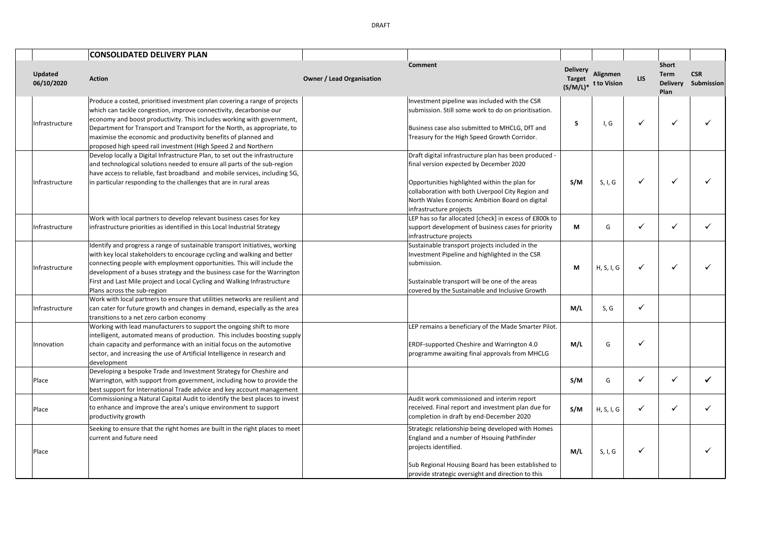|                              | <b>CONSOLIDATED DELIVERY PLAN</b>                                                                                                                                                                                                                                                                                                                                                                                                          |                                  |                                                                                                                                                                                                                                                                                     |                                  |                                    |            |                                                 |                          |
|------------------------------|--------------------------------------------------------------------------------------------------------------------------------------------------------------------------------------------------------------------------------------------------------------------------------------------------------------------------------------------------------------------------------------------------------------------------------------------|----------------------------------|-------------------------------------------------------------------------------------------------------------------------------------------------------------------------------------------------------------------------------------------------------------------------------------|----------------------------------|------------------------------------|------------|-------------------------------------------------|--------------------------|
| <b>Updated</b><br>06/10/2020 | <b>Action</b>                                                                                                                                                                                                                                                                                                                                                                                                                              | <b>Owner / Lead Organisation</b> | Comment                                                                                                                                                                                                                                                                             | <b>Delivery</b><br><b>Target</b> | Alignmen<br>$(S/M/L)*$ t to Vision | <b>LIS</b> | Short<br><b>Term</b><br><b>Delivery</b><br>Plan | <b>CSR</b><br>Submission |
| Infrastructure               | Produce a costed, prioritised investment plan covering a range of projects<br>which can tackle congestion, improve connectivity, decarbonise our<br>economy and boost productivity. This includes working with government,<br>Department for Transport and Transport for the North, as appropriate, to<br>maximise the economic and productivity benefits of planned and<br>proposed high speed rail investment (High Speed 2 and Northern |                                  | Investment pipeline was included with the CSR<br>submission. Still some work to do on prioritisation.<br>Business case also submitted to MHCLG, DfT and<br>Treasury for the High Speed Growth Corridor.                                                                             | S                                | I, G                               | ✓          | ✓                                               |                          |
| Infrastructure               | Develop locally a Digital Infrastructure Plan, to set out the infrastructure<br>and technological solutions needed to ensure all parts of the sub-region<br>have access to reliable, fast broadband and mobile services, including 5G,<br>in particular responding to the challenges that are in rural areas                                                                                                                               |                                  | Draft digital infrastructure plan has been produced -<br>final version expected by December 2020<br>Opportunities highlighted within the plan for<br>collaboration with both Liverpool City Region and<br>North Wales Economic Ambition Board on digital<br>infrastructure projects | S/M                              | S, I, G                            | ✓          | $\checkmark$                                    |                          |
| Infrastructure               | Work with local partners to develop relevant business cases for key<br>infrastructure priorities as identified in this Local Industrial Strategy                                                                                                                                                                                                                                                                                           |                                  | LEP has so far allocated [check] in excess of £800k to<br>support development of business cases for priority<br>infrastructure projects                                                                                                                                             | М                                | G                                  | ✓          | ✓                                               | ✓                        |
| Infrastructure               | Identify and progress a range of sustainable transport initiatives, working<br>with key local stakeholders to encourage cycling and walking and better<br>connecting people with employment opportunities. This will include the<br>development of a buses strategy and the business case for the Warrington<br>First and Last Mile project and Local Cycling and Walking Infrastructure<br>Plans across the sub-region                    |                                  | Sustainable transport projects included in the<br>Investment Pipeline and highlighted in the CSR<br>submission.<br>Sustainable transport will be one of the areas<br>covered by the Sustainable and Inclusive Growth                                                                | М                                | H, S, I, G                         | ✓          | ✓                                               |                          |
| Infrastructure               | Work with local partners to ensure that utilities networks are resilient and<br>can cater for future growth and changes in demand, especially as the area<br>transitions to a net zero carbon economy                                                                                                                                                                                                                                      |                                  |                                                                                                                                                                                                                                                                                     | M/L                              | S, G                               | ✓          |                                                 |                          |
| Innovation                   | Working with lead manufacturers to support the ongoing shift to more<br>intelligent, automated means of production. This includes boosting supply<br>chain capacity and performance with an initial focus on the automotive<br>sector, and increasing the use of Artificial Intelligence in research and<br>development                                                                                                                    |                                  | LEP remains a beneficiary of the Made Smarter Pilot.<br>ERDF-supported Cheshire and Warrington 4.0<br>programme awaiting final approvals from MHCLG                                                                                                                                 | M/L                              | G                                  | ✓          |                                                 |                          |
| Place                        | Developing a bespoke Trade and Investment Strategy for Cheshire and<br>Warrington, with support from government, including how to provide the<br>best support for International Trade advice and key account management                                                                                                                                                                                                                    |                                  |                                                                                                                                                                                                                                                                                     | S/M                              | G                                  | ✓          | $\checkmark$                                    | ✓                        |
| Place                        | Commissioning a Natural Capital Audit to identify the best places to invest<br>to enhance and improve the area's unique environment to support<br>productivity growth                                                                                                                                                                                                                                                                      |                                  | Audit work commissioned and interim report<br>received. Final report and investment plan due for<br>completion in draft by end-December 2020                                                                                                                                        | S/M                              | H, S, I, G                         | ✓          | ✓                                               |                          |
| Place                        | Seeking to ensure that the right homes are built in the right places to meet<br>current and future need                                                                                                                                                                                                                                                                                                                                    |                                  | Strategic relationship being developed with Homes<br>England and a number of Hsouing Pathfinder<br>projects identified.<br>Sub Regional Housing Board has been established to<br>provide strategic oversight and direction to this                                                  | M/L                              | S, I, G                            | ✓          |                                                 |                          |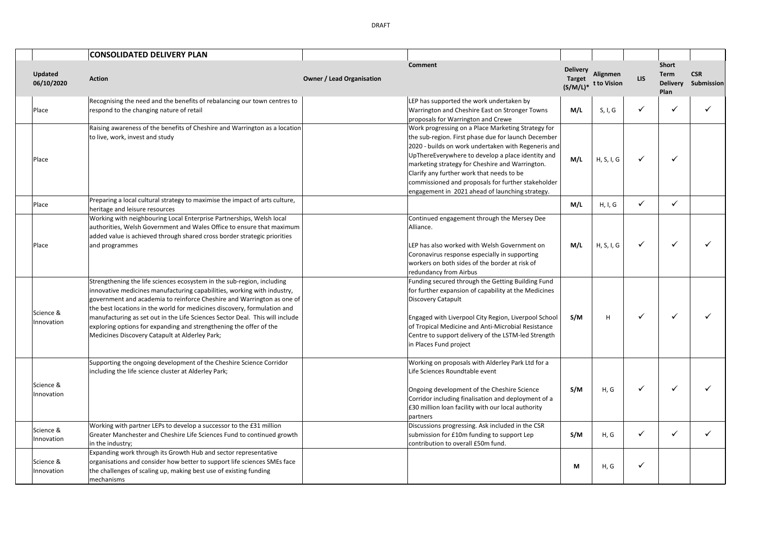|                              | <b>CONSOLIDATED DELIVERY PLAN</b>                                                                                                                                                                                                           |                                  |                                                                                                                                                                                                                                                                                                                                                                                                                                |                                                 |                         |                          |                                                 |                          |
|------------------------------|---------------------------------------------------------------------------------------------------------------------------------------------------------------------------------------------------------------------------------------------|----------------------------------|--------------------------------------------------------------------------------------------------------------------------------------------------------------------------------------------------------------------------------------------------------------------------------------------------------------------------------------------------------------------------------------------------------------------------------|-------------------------------------------------|-------------------------|--------------------------|-------------------------------------------------|--------------------------|
| <b>Updated</b><br>06/10/2020 | <b>Action</b>                                                                                                                                                                                                                               | <b>Owner / Lead Organisation</b> | <b>Comment</b>                                                                                                                                                                                                                                                                                                                                                                                                                 | <b>Delivery</b><br><b>Target</b><br>$(S/M/L)^*$ | Alignmen<br>t to Vision | <b>LIS</b>               | <b>Short</b><br>Term<br><b>Delivery</b><br>Plan | <b>CSR</b><br>Submission |
| Place                        | Recognising the need and the benefits of rebalancing our town centres to<br>respond to the changing nature of retail                                                                                                                        |                                  | LEP has supported the work undertaken by<br>Warrington and Cheshire East on Stronger Towns<br>proposals for Warrington and Crewe                                                                                                                                                                                                                                                                                               | M/L                                             | S, I, G                 | $\cdot$                  | ୰                                               |                          |
| Place                        | Raising awareness of the benefits of Cheshire and Warrington as a location<br>to live, work, invest and study                                                                                                                               |                                  | Work progressing on a Place Marketing Strategy for<br>the sub-region. First phase due for launch December<br>2020 - builds on work undertaken with Regeneris and<br>UpThereEverywhere to develop a place identity and<br>marketing strategy for Cheshire and Warrington.<br>Clarify any further work that needs to be<br>commissioned and proposals for further stakeholder<br>engagement in 2021 ahead of launching strategy. | M/L                                             | H, S, I, G              |                          | ୰                                               |                          |
| Place                        | Preparing a local cultural strategy to maximise the impact of arts culture,<br>heritage and leisure resources                                                                                                                               |                                  |                                                                                                                                                                                                                                                                                                                                                                                                                                | M/L                                             | H, I, G                 | $\overline{\phantom{a}}$ |                                                 |                          |
| Place                        | Working with neighbouring Local Enterprise Partnerships, Welsh local<br>authorities, Welsh Government and Wales Office to ensure that maximum<br>added value is achieved through shared cross border strategic priorities<br>and programmes |                                  | Continued engagement through the Mersey Dee<br>Alliance.<br>LEP has also worked with Welsh Government on                                                                                                                                                                                                                                                                                                                       | M/L                                             | H.S.L.G                 |                          |                                                 |                          |
|                              |                                                                                                                                                                                                                                             |                                  |                                                                                                                                                                                                                                                                                                                                                                                                                                |                                                 |                         |                          |                                                 |                          |

|                         |                                                                                                                                                                                                                                                                                                                                                                                                                                                                                                                 |                                                                                                                                                                                                                                                                                                                                                                                                                                |     |            |   | Plan |   |
|-------------------------|-----------------------------------------------------------------------------------------------------------------------------------------------------------------------------------------------------------------------------------------------------------------------------------------------------------------------------------------------------------------------------------------------------------------------------------------------------------------------------------------------------------------|--------------------------------------------------------------------------------------------------------------------------------------------------------------------------------------------------------------------------------------------------------------------------------------------------------------------------------------------------------------------------------------------------------------------------------|-----|------------|---|------|---|
| Place                   | Recognising the need and the benefits of rebalancing our town centres to<br>respond to the changing nature of retail                                                                                                                                                                                                                                                                                                                                                                                            | LEP has supported the work undertaken by<br>Warrington and Cheshire East on Stronger Towns<br>proposals for Warrington and Crewe                                                                                                                                                                                                                                                                                               | M/L | S, I, G    | ✓ |      | ✓ |
| Place                   | Raising awareness of the benefits of Cheshire and Warrington as a location<br>to live, work, invest and study                                                                                                                                                                                                                                                                                                                                                                                                   | Work progressing on a Place Marketing Strategy for<br>the sub-region. First phase due for launch December<br>2020 - builds on work undertaken with Regeneris and<br>UpThereEverywhere to develop a place identity and<br>marketing strategy for Cheshire and Warrington.<br>Clarify any further work that needs to be<br>commissioned and proposals for further stakeholder<br>engagement in 2021 ahead of launching strategy. | M/L | H, S, I, G | ✓ |      |   |
| Place                   | Preparing a local cultural strategy to maximise the impact of arts culture,<br>heritage and leisure resources                                                                                                                                                                                                                                                                                                                                                                                                   |                                                                                                                                                                                                                                                                                                                                                                                                                                | M/L | H, I, G    | ✓ | ✓    |   |
| Place                   | Working with neighbouring Local Enterprise Partnerships, Welsh local<br>authorities, Welsh Government and Wales Office to ensure that maximum<br>added value is achieved through shared cross border strategic priorities<br>and programmes                                                                                                                                                                                                                                                                     | Continued engagement through the Mersey Dee<br>Alliance.<br>LEP has also worked with Welsh Government on<br>Coronavirus response especially in supporting<br>workers on both sides of the border at risk of<br>redundancy from Airbus                                                                                                                                                                                          | M/L | H, S, I, G | ✓ |      |   |
| Science &<br>Innovation | Strengthening the life sciences ecosystem in the sub-region, including<br>innovative medicines manufacturing capabilities, working with industry,<br>government and academia to reinforce Cheshire and Warrington as one of<br>the best locations in the world for medicines discovery, formulation and<br>manufacturing as set out in the Life Sciences Sector Deal. This will include<br>exploring options for expanding and strengthening the offer of the<br>Medicines Discovery Catapult at Alderley Park; | Funding secured through the Getting Building Fund<br>for further expansion of capability at the Medicines<br>Discovery Catapult<br>Engaged with Liverpool City Region, Liverpool School<br>of Tropical Medicine and Anti-Microbial Resistance<br>Centre to support delivery of the LSTM-led Strength<br>in Places Fund project                                                                                                 | S/M | H          | ✓ |      |   |
| Science &<br>Innovation | Supporting the ongoing development of the Cheshire Science Corridor<br>including the life science cluster at Alderley Park;                                                                                                                                                                                                                                                                                                                                                                                     | Working on proposals with Alderley Park Ltd for a<br>Life Sciences Roundtable event<br>Ongoing development of the Cheshire Science<br>Corridor including finalisation and deployment of a<br>£30 million loan facility with our local authority<br>partners                                                                                                                                                                    | S/M | H, G       | ✓ |      |   |
| Science &<br>Innovation | Working with partner LEPs to develop a successor to the £31 million<br>Greater Manchester and Cheshire Life Sciences Fund to continued growth<br>in the industry;                                                                                                                                                                                                                                                                                                                                               | Discussions progressing. Ask included in the CSR<br>submission for £10m funding to support Lep<br>contribution to overall £50m fund.                                                                                                                                                                                                                                                                                           | S/M | H, G       | ✓ |      | ✓ |
| Science &<br>Innovation | Expanding work through its Growth Hub and sector representative<br>organisations and consider how better to support life sciences SMEs face<br>the challenges of scaling up, making best use of existing funding<br>mechanisms                                                                                                                                                                                                                                                                                  |                                                                                                                                                                                                                                                                                                                                                                                                                                | M   | H, G       | ✓ |      |   |

Updated<br>06/10/2020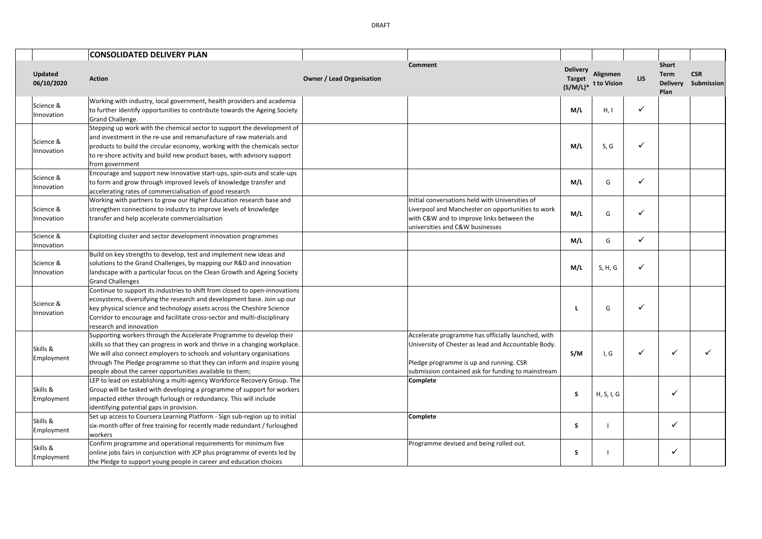|                         | <b>CONSOLIDATED DELIVERY PLAN</b>                                                                                                                                                                                                                                                                                                                                   |                                  |                                                                                                                                                                                                            |                                  |                                           |              |                                                        |                          |
|-------------------------|---------------------------------------------------------------------------------------------------------------------------------------------------------------------------------------------------------------------------------------------------------------------------------------------------------------------------------------------------------------------|----------------------------------|------------------------------------------------------------------------------------------------------------------------------------------------------------------------------------------------------------|----------------------------------|-------------------------------------------|--------------|--------------------------------------------------------|--------------------------|
| Updated<br>06/10/2020   | <b>Action</b>                                                                                                                                                                                                                                                                                                                                                       | <b>Owner / Lead Organisation</b> | <b>Comment</b>                                                                                                                                                                                             | <b>Delivery</b><br><b>Target</b> | <b>Alignmen</b><br>$(S/M/L)*$ t to Vision | LIS          | <b>Short</b><br><b>Term</b><br><b>Delivery</b><br>Plan | <b>CSR</b><br>Submission |
| Science &<br>Innovation | Working with industry, local government, health providers and academia<br>to further identify opportunities to contribute towards the Ageing Society<br>Grand Challenge.                                                                                                                                                                                            |                                  |                                                                                                                                                                                                            | M/L                              | H, I                                      | $\checkmark$ |                                                        |                          |
| Science &<br>Innovation | Stepping up work with the chemical sector to support the development of<br>and investment in the re-use and remanufacture of raw materials and<br>products to build the circular economy, working with the chemicals sector<br>to re-shore activity and build new product bases, with advisory support<br>from government                                           |                                  |                                                                                                                                                                                                            | M/L                              | S, G                                      | ✓            |                                                        |                          |
| Science &<br>Innovation | Encourage and support new innovative start-ups, spin-outs and scale-ups<br>to form and grow through improved levels of knowledge transfer and<br>accelerating rates of commercialisation of good research                                                                                                                                                           |                                  |                                                                                                                                                                                                            | M/L                              | G                                         | ✓            |                                                        |                          |
| Science &<br>Innovation | Working with partners to grow our Higher Education research base and<br>strengthen connections to industry to improve levels of knowledge<br>transfer and help accelerate commercialisation                                                                                                                                                                         |                                  | Initial conversations held with Universities of<br>Liverpool and Manchester on opportunities to work<br>with C&W and to improve links between the<br>universities and C&W businesses                       | M/L                              | G                                         | ✓            |                                                        |                          |
| Science &<br>Innovation | Exploiting cluster and sector development innovation programmes                                                                                                                                                                                                                                                                                                     |                                  |                                                                                                                                                                                                            | M/L                              | G                                         | ✓            |                                                        |                          |
| Science &<br>Innovation | Build on key strengths to develop, test and implement new ideas and<br>solutions to the Grand Challenges, by mapping our R&D and innovation<br>landscape with a particular focus on the Clean Growth and Ageing Society<br><b>Grand Challenges</b>                                                                                                                  |                                  |                                                                                                                                                                                                            | M/L                              | S, H, G                                   | ✓            |                                                        |                          |
| Science &<br>Innovation | Continue to support its industries to shift from closed to open-innovations<br>ecosystems, diversifying the research and development base. Join up our<br>key physical science and technology assets across the Cheshire Science<br>Corridor to encourage and facilitate cross-sector and multi-disciplinary<br>research and innovation                             |                                  |                                                                                                                                                                                                            |                                  | G                                         | $\checkmark$ |                                                        |                          |
| Skills &<br>Employment  | Supporting workers through the Accelerate Programme to develop their<br>skills so that they can progress in work and thrive in a changing workplace.<br>We will also connect employers to schools and voluntary organisations<br>through The Pledge programme so that they can inform and inspire young<br>people about the career opportunities available to them; |                                  | Accelerate programme has officially launched, with<br>University of Chester as lead and Accountable Body.<br>Pledge programme is up and running. CSR<br>submission contained ask for funding to mainstream | S/M                              | I, G                                      | ✓            | $\checkmark$                                           |                          |
| Skills &<br>Employment  | LEP to lead on establishing a multi-agency Workforce Recovery Group. The<br>Group will be tasked with developing a programme of support for workers<br>impacted either through furlough or redundancy. This will include<br>identifying potential gaps in provision.                                                                                                |                                  | Complete                                                                                                                                                                                                   | S                                | H, S, I, G                                |              | $\checkmark$                                           |                          |
| Skills &<br>Employment  | Set up access to Coursera Learning Platform - Sign sub-region up to initial<br>six-month offer of free training for recently made redundant / furloughed<br>workers                                                                                                                                                                                                 |                                  | Complete                                                                                                                                                                                                   | S                                |                                           |              | $\checkmark$                                           |                          |
| Skills &<br>Employment  | Confirm programme and operational requirements for minimum five<br>online jobs fairs in conjunction with JCP plus programme of events led by<br>the Pledge to support young people in career and education choices                                                                                                                                                  |                                  | Programme devised and being rolled out.                                                                                                                                                                    | S                                |                                           |              | $\checkmark$                                           |                          |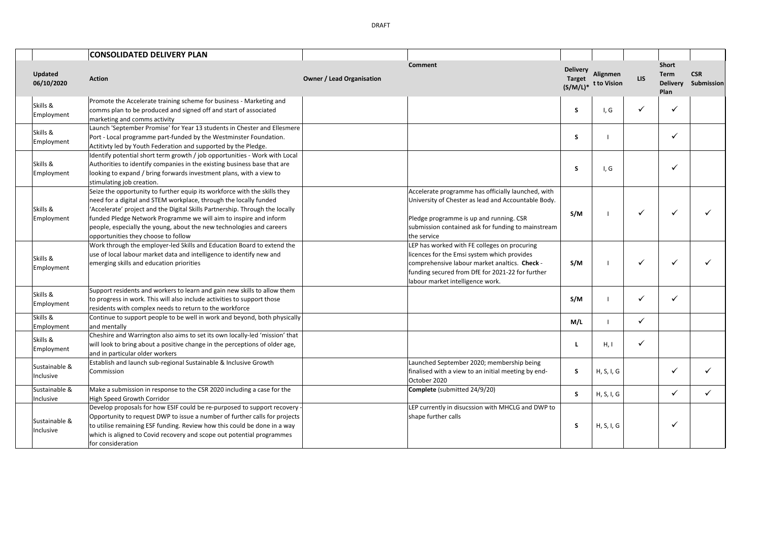|                            | <b>CONSOLIDATED DELIVERY PLAN</b>                                                                                                                                                                                                                                                                                                                                                                                  |                                  |                                                                                                                                                                                                                                      |                                                 |                         |            |                                                        |                          |
|----------------------------|--------------------------------------------------------------------------------------------------------------------------------------------------------------------------------------------------------------------------------------------------------------------------------------------------------------------------------------------------------------------------------------------------------------------|----------------------------------|--------------------------------------------------------------------------------------------------------------------------------------------------------------------------------------------------------------------------------------|-------------------------------------------------|-------------------------|------------|--------------------------------------------------------|--------------------------|
| Updated<br>06/10/2020      | <b>Action</b>                                                                                                                                                                                                                                                                                                                                                                                                      | <b>Owner / Lead Organisation</b> | Comment                                                                                                                                                                                                                              | <b>Delivery</b><br><b>Target</b><br>$(S/M/L)^*$ | Alignmen<br>t to Vision | <b>LIS</b> | <b>Short</b><br><b>Term</b><br><b>Delivery</b><br>Plan | <b>CSR</b><br>Submission |
| Skills &<br>Employment     | Promote the Accelerate training scheme for business - Marketing and<br>comms plan to be produced and signed off and start of associated<br>marketing and comms activity                                                                                                                                                                                                                                            |                                  |                                                                                                                                                                                                                                      | S.                                              | I, G                    | ✓          | ✓                                                      |                          |
| Skills &<br>Employment     | Launch 'September Promise' for Year 13 students in Chester and Ellesmere<br>Port - Local programme part-funded by the Westminster Foundation.<br>Actitivty led by Youth Federation and supported by the Pledge.                                                                                                                                                                                                    |                                  |                                                                                                                                                                                                                                      | S                                               |                         |            | ✓                                                      |                          |
| Skills &<br>Employment     | Identify potential short term growth / job opportunities - Work with Local<br>Authorities to identify companies in the existing business base that are<br>looking to expand / bring forwards investment plans, with a view to<br>stimulating job creation.                                                                                                                                                         |                                  |                                                                                                                                                                                                                                      | S                                               | I, G                    |            | ✓                                                      |                          |
| Skills &<br>Employment     | Seize the opportunity to further equip its workforce with the skills they<br>need for a digital and STEM workplace, through the locally funded<br>'Accelerate' project and the Digital Skills Partnership. Through the locally<br>funded Pledge Network Programme we will aim to inspire and inform<br>people, especially the young, about the new technologies and careers<br>opportunities they choose to follow |                                  | Accelerate programme has officially launched, with<br>University of Chester as lead and Accountable Body.<br>Pledge programme is up and running. CSR<br>submission contained ask for funding to mainstream<br>the service            | S/M                                             |                         | ✓          | ✓                                                      |                          |
| Skills &<br>Employment     | Work through the employer-led Skills and Education Board to extend the<br>use of local labour market data and intelligence to identify new and<br>emerging skills and education priorities                                                                                                                                                                                                                         |                                  | LEP has worked with FE colleges on procuring<br>licences for the Emsi system which provides<br>comprehensive labour market analtics. Check -<br>funding secured from DfE for 2021-22 for further<br>labour market intelligence work. | S/M                                             |                         | ✓          | ✓                                                      |                          |
| Skills &<br>Employment     | Support residents and workers to learn and gain new skills to allow them<br>to progress in work. This will also include activities to support those<br>residents with complex needs to return to the workforce                                                                                                                                                                                                     |                                  |                                                                                                                                                                                                                                      | S/M                                             |                         | ✓          | ✓                                                      |                          |
| Skills &<br>Employment     | Continue to support people to be well in work and beyond, both physically<br>and mentally                                                                                                                                                                                                                                                                                                                          |                                  |                                                                                                                                                                                                                                      | M/L                                             |                         | ✓          |                                                        |                          |
| Skills &<br>Employment     | Cheshire and Warrington also aims to set its own locally-led 'mission' that<br>will look to bring about a positive change in the perceptions of older age,<br>and in particular older workers                                                                                                                                                                                                                      |                                  |                                                                                                                                                                                                                                      |                                                 | H, I                    | ✓          |                                                        |                          |
| Sustainable &<br>Inclusive | Establish and launch sub-regional Sustainable & Inclusive Growth<br>Commission                                                                                                                                                                                                                                                                                                                                     |                                  | Launched September 2020; membership being<br>finalised with a view to an initial meeting by end-<br>October 2020                                                                                                                     | S.                                              | H, S, I, G              |            | ✓                                                      |                          |
| Sustainable &<br>Inclusive | Make a submission in response to the CSR 2020 including a case for the<br>High Speed Growth Corridor                                                                                                                                                                                                                                                                                                               |                                  | Complete (submitted 24/9/20)                                                                                                                                                                                                         | S.                                              | H, S, I, G              |            | ✓                                                      |                          |
| Sustainable &<br>Inclusive | Develop proposals for how ESIF could be re-purposed to support recovery -<br>Opportunity to request DWP to issue a number of further calls for projects<br>to utilise remaining ESF funding. Review how this could be done in a way<br>which is aligned to Covid recovery and scope out potential programmes<br>for consideration                                                                                  |                                  | LEP currently in disucssion with MHCLG and DWP to<br>shape further calls                                                                                                                                                             | S                                               | H, S, I, G              |            | ✓                                                      |                          |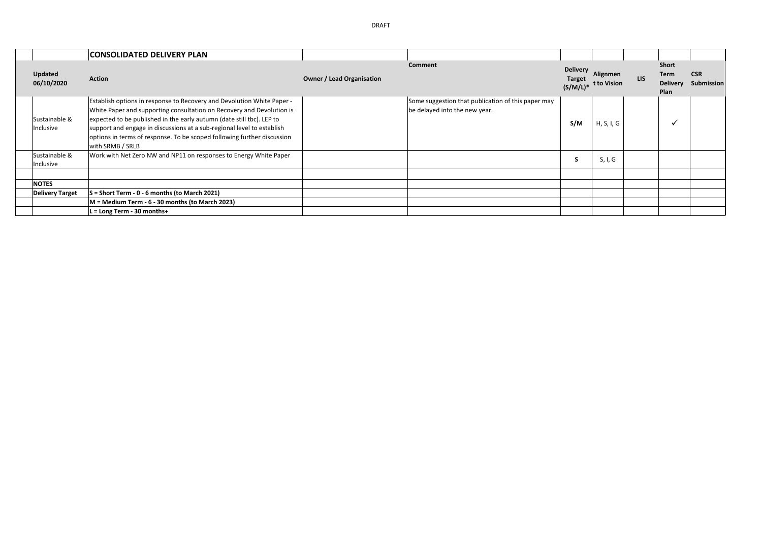|                            | <b>CONSOLIDATED DELIVERY PLAN</b>                                                                                                                                                                                                                                                                                                                                                                 |                                  |                                                                                     |                                                 |                         |     |                                          |                          |
|----------------------------|---------------------------------------------------------------------------------------------------------------------------------------------------------------------------------------------------------------------------------------------------------------------------------------------------------------------------------------------------------------------------------------------------|----------------------------------|-------------------------------------------------------------------------------------|-------------------------------------------------|-------------------------|-----|------------------------------------------|--------------------------|
| Updated<br>06/10/2020      | <b>Action</b>                                                                                                                                                                                                                                                                                                                                                                                     | <b>Owner / Lead Organisation</b> | <b>Comment</b>                                                                      | <b>Delivery</b><br><b>Target</b><br>$(S/M/L)^*$ | Alignmen<br>t to Vision | LIS | Short<br>Term<br><b>Delivery</b><br>Plan | <b>CSR</b><br>Submission |
| Sustainable &<br>Inclusive | Establish options in response to Recovery and Devolution White Paper -<br>White Paper and supporting consultation on Recovery and Devolution is<br>expected to be published in the early autumn (date still tbc). LEP to<br>support and engage in discussions at a sub-regional level to establish<br>options in terms of response. To be scoped following further discussion<br>with SRMB / SRLB |                                  | Some suggestion that publication of this paper may<br>be delayed into the new year. | S/M                                             | H, S, I, G              |     | v                                        |                          |
| Sustainable &<br>Inclusive | Work with Net Zero NW and NP11 on responses to Energy White Paper                                                                                                                                                                                                                                                                                                                                 |                                  |                                                                                     | s                                               | S, I, G                 |     |                                          |                          |
|                            |                                                                                                                                                                                                                                                                                                                                                                                                   |                                  |                                                                                     |                                                 |                         |     |                                          |                          |
| <b>NOTES</b>               |                                                                                                                                                                                                                                                                                                                                                                                                   |                                  |                                                                                     |                                                 |                         |     |                                          |                          |
| <b>Delivery Target</b>     | $S =$ Short Term - 0 - 6 months (to March 2021)                                                                                                                                                                                                                                                                                                                                                   |                                  |                                                                                     |                                                 |                         |     |                                          |                          |
|                            | M = Medium Term - 6 - 30 months (to March 2023)                                                                                                                                                                                                                                                                                                                                                   |                                  |                                                                                     |                                                 |                         |     |                                          |                          |
|                            | $L = Long Term - 30 months+$                                                                                                                                                                                                                                                                                                                                                                      |                                  |                                                                                     |                                                 |                         |     |                                          |                          |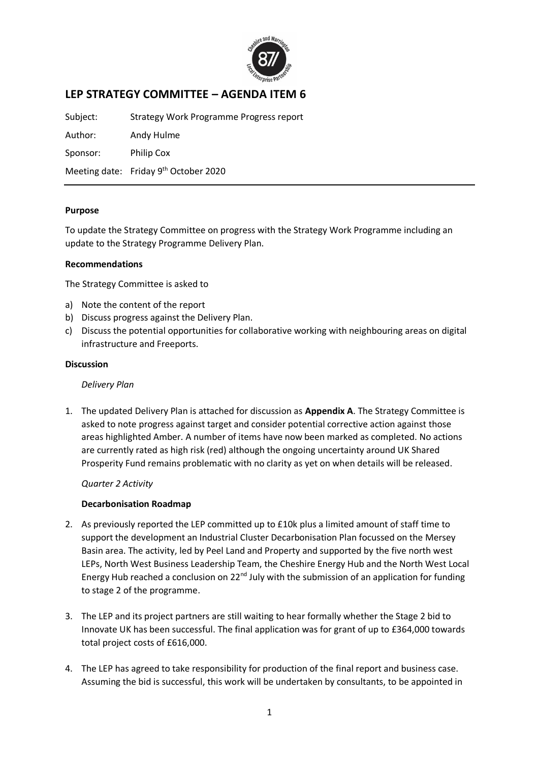

## **LEP STRATEGY COMMITTEE – AGENDA ITEM 6**

Subject: Strategy Work Programme Progress report

Author: Andy Hulme Sponsor: Philip Cox

Meeting date: Friday 9<sup>th</sup> October 2020

## **Purpose**

To update the Strategy Committee on progress with the Strategy Work Programme including an update to the Strategy Programme Delivery Plan.

## **Recommendations**

The Strategy Committee is asked to

- a) Note the content of the report
- b) Discuss progress against the Delivery Plan.
- c) Discuss the potential opportunities for collaborative working with neighbouring areas on digital infrastructure and Freeports.

### **Discussion**

*Delivery Plan*

1. The updated Delivery Plan is attached for discussion as **Appendix A**. The Strategy Committee is asked to note progress against target and consider potential corrective action against those areas highlighted Amber. A number of items have now been marked as completed. No actions are currently rated as high risk (red) although the ongoing uncertainty around UK Shared Prosperity Fund remains problematic with no clarity as yet on when details will be released.

*Quarter 2 Activity*

### **Decarbonisation Roadmap**

- 2. As previously reported the LEP committed up to £10k plus a limited amount of staff time to support the development an Industrial Cluster Decarbonisation Plan focussed on the Mersey Basin area. The activity, led by Peel Land and Property and supported by the five north west LEPs, North West Business Leadership Team, the Cheshire Energy Hub and the North West Local Energy Hub reached a conclusion on 22<sup>nd</sup> July with the submission of an application for funding to stage 2 of the programme.
- 3. The LEP and its project partners are still waiting to hear formally whether the Stage 2 bid to Innovate UK has been successful. The final application was for grant of up to £364,000 towards total project costs of £616,000.
- 4. The LEP has agreed to take responsibility for production of the final report and business case. Assuming the bid is successful, this work will be undertaken by consultants, to be appointed in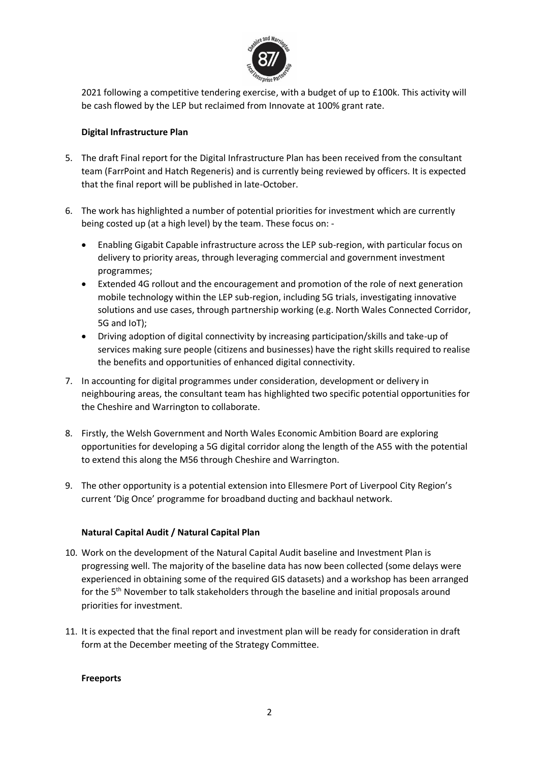

2021 following a competitive tendering exercise, with a budget of up to £100k. This activity will be cash flowed by the LEP but reclaimed from Innovate at 100% grant rate.

## **Digital Infrastructure Plan**

- 5. The draft Final report for the Digital Infrastructure Plan has been received from the consultant team (FarrPoint and Hatch Regeneris) and is currently being reviewed by officers. It is expected that the final report will be published in late-October.
- 6. The work has highlighted a number of potential priorities for investment which are currently being costed up (at a high level) by the team. These focus on: -
	- Enabling Gigabit Capable infrastructure across the LEP sub-region, with particular focus on delivery to priority areas, through leveraging commercial and government investment programmes;
	- Extended 4G rollout and the encouragement and promotion of the role of next generation mobile technology within the LEP sub-region, including 5G trials, investigating innovative solutions and use cases, through partnership working (e.g. North Wales Connected Corridor, 5G and IoT);
	- Driving adoption of digital connectivity by increasing participation/skills and take-up of services making sure people (citizens and businesses) have the right skills required to realise the benefits and opportunities of enhanced digital connectivity.
- 7. In accounting for digital programmes under consideration, development or delivery in neighbouring areas, the consultant team has highlighted two specific potential opportunities for the Cheshire and Warrington to collaborate.
- 8. Firstly, the Welsh Government and North Wales Economic Ambition Board are exploring opportunities for developing a 5G digital corridor along the length of the A55 with the potential to extend this along the M56 through Cheshire and Warrington.
- 9. The other opportunity is a potential extension into Ellesmere Port of Liverpool City Region's current 'Dig Once' programme for broadband ducting and backhaul network.

## **Natural Capital Audit / Natural Capital Plan**

- 10. Work on the development of the Natural Capital Audit baseline and Investment Plan is progressing well. The majority of the baseline data has now been collected (some delays were experienced in obtaining some of the required GIS datasets) and a workshop has been arranged for the 5<sup>th</sup> November to talk stakeholders through the baseline and initial proposals around priorities for investment.
- 11. It is expected that the final report and investment plan will be ready for consideration in draft form at the December meeting of the Strategy Committee.

### **Freeports**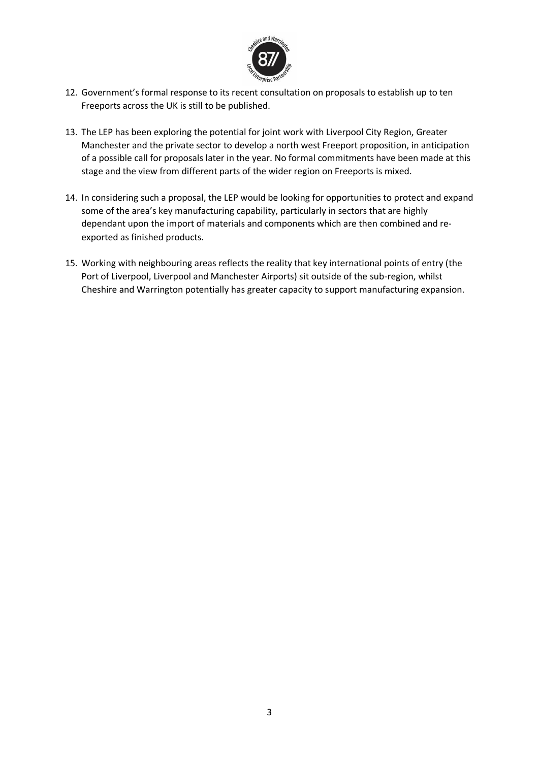

- 12. Government's formal response to its recent consultation on proposals to establish up to ten Freeports across the UK is still to be published.
- 13. The LEP has been exploring the potential for joint work with Liverpool City Region, Greater Manchester and the private sector to develop a north west Freeport proposition, in anticipation of a possible call for proposals later in the year. No formal commitments have been made at this stage and the view from different parts of the wider region on Freeports is mixed.
- 14. In considering such a proposal, the LEP would be looking for opportunities to protect and expand some of the area's key manufacturing capability, particularly in sectors that are highly dependant upon the import of materials and components which are then combined and reexported as finished products.
- 15. Working with neighbouring areas reflects the reality that key international points of entry (the Port of Liverpool, Liverpool and Manchester Airports) sit outside of the sub-region, whilst Cheshire and Warrington potentially has greater capacity to support manufacturing expansion.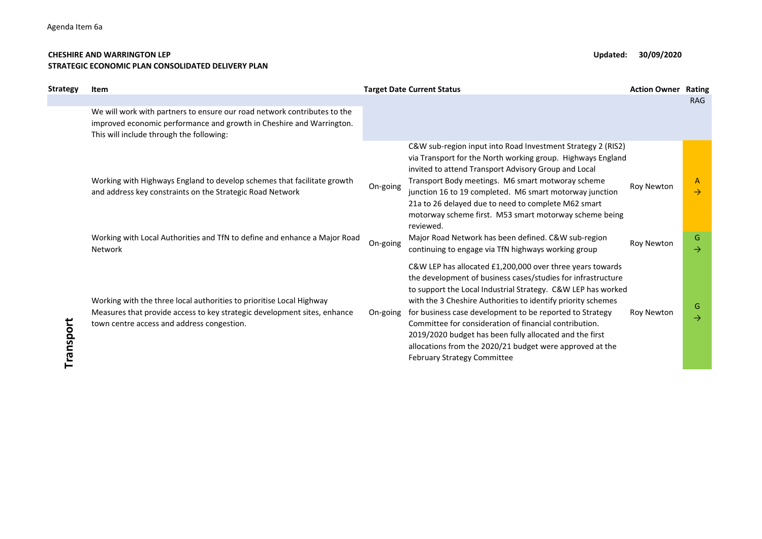#### CHESHIRE AND WARRINGTON LEP **Updated:** 30/09/2020 STRATEGIC ECONOMIC PLAN CONSOLIDATED DELIVERY PLAN

| Strategy  | Item                                                                                                                                                                                                                         |                      | <b>Target Date Current Status</b>                                                                                                                                                                                                                                                                                                                                                                                                                                                                                                              | <b>Action Owner</b>      | <b>Rating</b>                            |
|-----------|------------------------------------------------------------------------------------------------------------------------------------------------------------------------------------------------------------------------------|----------------------|------------------------------------------------------------------------------------------------------------------------------------------------------------------------------------------------------------------------------------------------------------------------------------------------------------------------------------------------------------------------------------------------------------------------------------------------------------------------------------------------------------------------------------------------|--------------------------|------------------------------------------|
|           | We will work with partners to ensure our road network contributes to the<br>improved economic performance and growth in Cheshire and Warrington.<br>This will include through the following:                                 |                      |                                                                                                                                                                                                                                                                                                                                                                                                                                                                                                                                                |                          | <b>RAG</b>                               |
|           | Working with Highways England to develop schemes that facilitate growth<br>and address key constraints on the Strategic Road Network<br>Working with Local Authorities and TfN to define and enhance a Major Road<br>Network | On-going<br>On-going | C&W sub-region input into Road Investment Strategy 2 (RIS2)<br>via Transport for the North working group. Highways England<br>invited to attend Transport Advisory Group and Local<br>Transport Body meetings. M6 smart motworay scheme<br>junction 16 to 19 completed. M6 smart motorway junction<br>21a to 26 delayed due to need to complete M62 smart<br>motorway scheme first. M53 smart motorway scheme being<br>reviewed.<br>Major Road Network has been defined. C&W sub-region<br>continuing to engage via TfN highways working group | Roy Newton<br>Roy Newton | A<br>$\rightarrow$<br>G<br>$\rightarrow$ |
| Transport | Working with the three local authorities to prioritise Local Highway<br>Measures that provide access to key strategic development sites, enhance<br>town centre access and address congestion.                               | On-going             | C&W LEP has allocated £1,200,000 over three years towards<br>the development of business cases/studies for infrastructure<br>to support the Local Industrial Strategy. C&W LEP has worked<br>with the 3 Cheshire Authorities to identify priority schemes<br>for business case development to be reported to Strategy<br>Committee for consideration of financial contribution.<br>2019/2020 budget has been fully allocated and the first<br>allocations from the 2020/21 budget were approved at the<br><b>February Strategy Committee</b>   | Roy Newton               | G<br>$\rightarrow$                       |
|           |                                                                                                                                                                                                                              |                      |                                                                                                                                                                                                                                                                                                                                                                                                                                                                                                                                                |                          |                                          |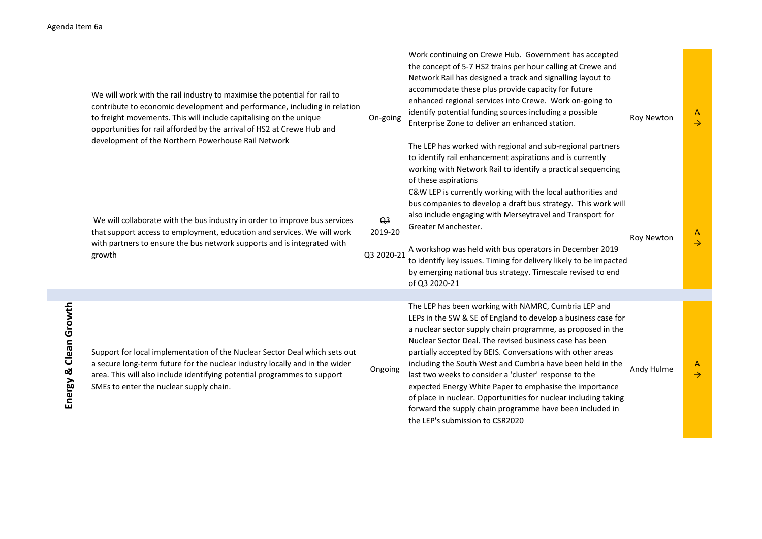| da Item 6a               |                                                                                                                                                                                                                                                                                                                                                               |                                         |                                                                                                                                                                                                                                                                                                                                                                                                                                                                                                                                                                                                                                      |                   |                    |
|--------------------------|---------------------------------------------------------------------------------------------------------------------------------------------------------------------------------------------------------------------------------------------------------------------------------------------------------------------------------------------------------------|-----------------------------------------|--------------------------------------------------------------------------------------------------------------------------------------------------------------------------------------------------------------------------------------------------------------------------------------------------------------------------------------------------------------------------------------------------------------------------------------------------------------------------------------------------------------------------------------------------------------------------------------------------------------------------------------|-------------------|--------------------|
|                          | We will work with the rail industry to maximise the potential for rail to<br>contribute to economic development and performance, including in relation<br>to freight movements. This will include capitalising on the unique<br>opportunities for rail afforded by the arrival of HS2 at Crewe Hub and<br>development of the Northern Powerhouse Rail Network | On-going                                | Work continuing on Crewe Hub. Government has accepted<br>the concept of 5-7 HS2 trains per hour calling at Crewe and<br>Network Rail has designed a track and signalling layout to<br>accommodate these plus provide capacity for future<br>enhanced regional services into Crewe. Work on-going to<br>identify potential funding sources including a possible<br>Enterprise Zone to deliver an enhanced station.<br>The LEP has worked with regional and sub-regional partners<br>to identify rail enhancement aspirations and is currently<br>working with Network Rail to identify a practical sequencing<br>of these aspirations | <b>Roy Newton</b> | A<br>$\rightarrow$ |
|                          | We will collaborate with the bus industry in order to improve bus services<br>that support access to employment, education and services. We will work<br>with partners to ensure the bus network supports and is integrated with<br>growth                                                                                                                    | Q <sub>3</sub><br>2019-20<br>Q3 2020-21 | C&W LEP is currently working with the local authorities and<br>bus companies to develop a draft bus strategy. This work will<br>also include engaging with Merseytravel and Transport for<br>Greater Manchester.<br>A workshop was held with bus operators in December 2019<br>to identify key issues. Timing for delivery likely to be impacted<br>by emerging national bus strategy. Timescale revised to end<br>of Q3 2020-21                                                                                                                                                                                                     | <b>Roy Newton</b> | A<br>$\rightarrow$ |
|                          |                                                                                                                                                                                                                                                                                                                                                               |                                         | The LEP has been working with NAMRC, Cumbria LEP and                                                                                                                                                                                                                                                                                                                                                                                                                                                                                                                                                                                 |                   |                    |
| Clean Growth<br>Energy & | Support for local implementation of the Nuclear Sector Deal which sets out<br>a secure long-term future for the nuclear industry locally and in the wider<br>area. This will also include identifying potential programmes to support<br>SMEs to enter the nuclear supply chain.                                                                              | Ongoing                                 | LEPs in the SW & SE of England to develop a business case for<br>a nuclear sector supply chain programme, as proposed in the<br>Nuclear Sector Deal. The revised business case has been<br>partially accepted by BEIS. Conversations with other areas<br>including the South West and Cumbria have been held in the<br>last two weeks to consider a 'cluster' response to the<br>expected Energy White Paper to emphasise the importance<br>of place in nuclear. Opportunities for nuclear including taking<br>forward the supply chain programme have been included in<br>the LEP's submission to CSR2020                           | Andy Hulme        | A<br>$\rightarrow$ |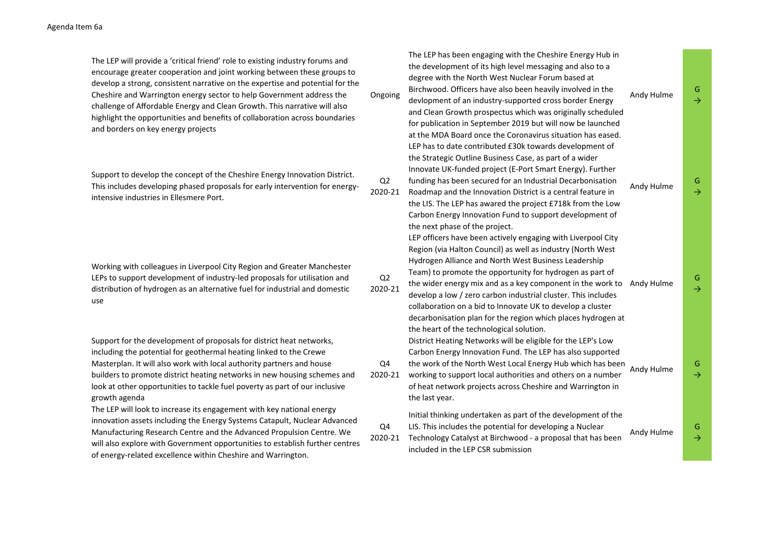The LEP will provide a 'critical friend' role to existing industry forums and encourage greater cooperation and joint working between these groups to develop a strong, consistent narrative on the expertise and potential for the Cheshire and Warrington energy sector to help Government address the challenge of Affordable Energy and Clean Growth. This narrative will also highlight the opportunities and benefits of collaboration across boundaries and borders on key energy projects

Support to develop the concept of the Cheshire Energy Innovation District. This includes developing phased proposals for early intervention for energyintensive industries in Ellesmere Port.

Working with colleagues in Liverpool City Region and Greater Manchester LEPs to support development of industry-led proposals for utilisation and distribution of hydrogen as an alternative fuel for industrial and domestic use

Support for the development of proposals for district heat networks, including the potential for geothermal heating linked to the Crewe Masterplan. It will also work with local authority partners and house builders to promote district heating networks in new housing schemes and look at other opportunities to tackle fuel poverty as part of our inclusive growth agenda

The LEP will look to increase its engagement with key national energy innovation assets including the Energy Systems Catapult, Nuclear Advanced Manufacturing Research Centre and the Advanced Propulsion Centre. We will also explore with Government opportunities to establish further centres of energy-related excellence within Cheshire and Warrington.

|   | Ongoing                   | The LEP has been engaging with the Cheshire Energy Hub in<br>the development of its high level messaging and also to a<br>degree with the North West Nuclear Forum based at<br>Birchwood. Officers have also been heavily involved in the<br>devlopment of an industry-supported cross border Energy<br>and Clean Growth prospectus which was originally scheduled<br>for publication in September 2019 but will now be launched<br>at the MDA Board once the Coronavirus situation has eased.                                                           | Andy Hulme | G.<br>$\rightarrow$ |
|---|---------------------------|----------------------------------------------------------------------------------------------------------------------------------------------------------------------------------------------------------------------------------------------------------------------------------------------------------------------------------------------------------------------------------------------------------------------------------------------------------------------------------------------------------------------------------------------------------|------------|---------------------|
|   | Q2<br>2020-21             | LEP has to date contributed £30k towards development of<br>the Strategic Outline Business Case, as part of a wider<br>Innovate UK-funded project (E-Port Smart Energy). Further<br>funding has been secured for an Industrial Decarbonisation<br>Roadmap and the Innovation District is a central feature in<br>the LIS. The LEP has awared the project £718k from the Low<br>Carbon Energy Innovation Fund to support development of<br>the next phase of the project.                                                                                  | Andy Hulme | G.<br>$\rightarrow$ |
|   | Q <sub>2</sub><br>2020-21 | LEP officers have been actively engaging with Liverpool City<br>Region (via Halton Council) as well as industry (North West<br>Hydrogen Alliance and North West Business Leadership<br>Team) to promote the opportunity for hydrogen as part of<br>the wider energy mix and as a key component in the work to<br>develop a low / zero carbon industrial cluster. This includes<br>collaboration on a bid to Innovate UK to develop a cluster<br>decarbonisation plan for the region which places hydrogen at<br>the heart of the technological solution. | Andy Hulme | G.<br>$\rightarrow$ |
|   | Q4<br>2020-21             | District Heating Networks will be eligible for the LEP's Low<br>Carbon Energy Innovation Fund. The LEP has also supported<br>the work of the North West Local Energy Hub which has been<br>working to support local authorities and others on a number<br>of heat network projects across Cheshire and Warrington in<br>the last year.                                                                                                                                                                                                                   | Andy Hulme | G.<br>$\rightarrow$ |
| Ś | Q4<br>2020-21             | Initial thinking undertaken as part of the development of the<br>LIS. This includes the potential for developing a Nuclear<br>Technology Catalyst at Birchwood - a proposal that has been<br>included in the LEP CSR submission                                                                                                                                                                                                                                                                                                                          | Andy Hulme | G<br>$\rightarrow$  |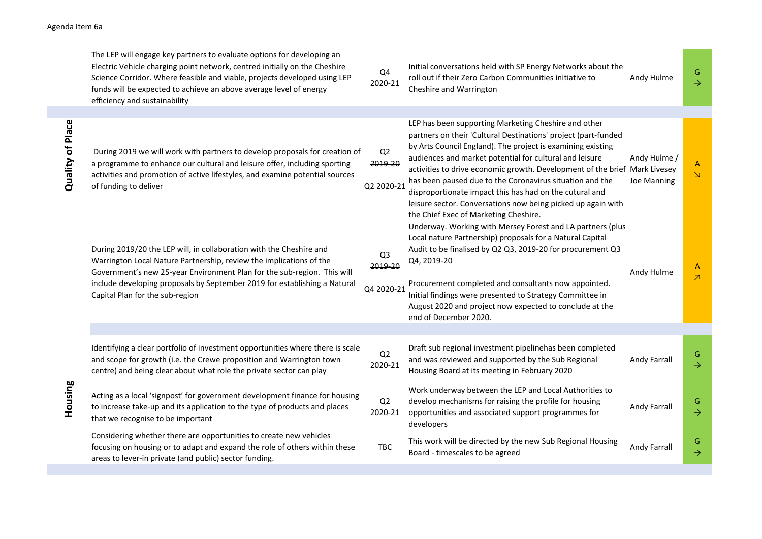## Agenda Item 6a

|                  | The LEP will engage key partners to evaluate options for developing an<br>Electric Vehicle charging point network, centred initially on the Cheshire<br>Science Corridor. Where feasible and viable, projects developed using LEP<br>funds will be expected to achieve an above average level of energy<br>efficiency and sustainability | Q4<br>2020-21                           | Initial conversations held with SP Energy Networks about the<br>roll out if their Zero Carbon Communities initiative to<br>Cheshire and Warrington                                                                                                                                                                                                                                                                                                                                                      | Andy Hulme                  | G<br>$\rightarrow$            |
|------------------|------------------------------------------------------------------------------------------------------------------------------------------------------------------------------------------------------------------------------------------------------------------------------------------------------------------------------------------|-----------------------------------------|---------------------------------------------------------------------------------------------------------------------------------------------------------------------------------------------------------------------------------------------------------------------------------------------------------------------------------------------------------------------------------------------------------------------------------------------------------------------------------------------------------|-----------------------------|-------------------------------|
|                  |                                                                                                                                                                                                                                                                                                                                          |                                         | LEP has been supporting Marketing Cheshire and other                                                                                                                                                                                                                                                                                                                                                                                                                                                    |                             |                               |
| Quality of Place | During 2019 we will work with partners to develop proposals for creation of<br>a programme to enhance our cultural and leisure offer, including sporting<br>activities and promotion of active lifestyles, and examine potential sources<br>of funding to deliver                                                                        | Q <sub>2</sub><br>2019-20<br>Q2 2020-21 | partners on their 'Cultural Destinations' project (part-funded<br>by Arts Council England). The project is examining existing<br>audiences and market potential for cultural and leisure<br>activities to drive economic growth. Development of the brief Mark Livesey-<br>has been paused due to the Coronavirus situation and the<br>disproportionate impact this has had on the cutural and<br>leisure sector. Conversations now being picked up again with<br>the Chief Exec of Marketing Cheshire. | Andy Hulme /<br>Joe Manning | A<br>$\Delta$                 |
|                  | During 2019/20 the LEP will, in collaboration with the Cheshire and<br>Warrington Local Nature Partnership, review the implications of the<br>Government's new 25-year Environment Plan for the sub-region. This will<br>include developing proposals by September 2019 for establishing a Natural<br>Capital Plan for the sub-region    | Q <sub>3</sub><br>2019-20<br>Q4 2020-21 | Underway. Working with Mersey Forest and LA partners (plus<br>Local nature Partnership) proposals for a Natural Capital<br>Audit to be finalised by Q2-Q3, 2019-20 for procurement Q3-<br>Q4, 2019-20<br>Procurement completed and consultants now appointed.<br>Initial findings were presented to Strategy Committee in<br>August 2020 and project now expected to conclude at the<br>end of December 2020.                                                                                           | Andy Hulme                  | A<br>$\overline{\mathcal{A}}$ |
|                  |                                                                                                                                                                                                                                                                                                                                          |                                         |                                                                                                                                                                                                                                                                                                                                                                                                                                                                                                         |                             |                               |
| Housing          | Identifying a clear portfolio of investment opportunities where there is scale<br>and scope for growth (i.e. the Crewe proposition and Warrington town<br>centre) and being clear about what role the private sector can play                                                                                                            | Q2<br>2020-21                           | Draft sub regional investment pipelinehas been completed<br>and was reviewed and supported by the Sub Regional<br>Housing Board at its meeting in February 2020                                                                                                                                                                                                                                                                                                                                         | Andy Farrall                | G<br>$\rightarrow$            |
|                  | Acting as a local 'signpost' for government development finance for housing<br>to increase take-up and its application to the type of products and places<br>that we recognise to be important                                                                                                                                           | Q2<br>2020-21                           | Work underway between the LEP and Local Authorities to<br>develop mechanisms for raising the profile for housing<br>opportunities and associated support programmes for<br>developers                                                                                                                                                                                                                                                                                                                   | Andy Farrall                | G<br>$\rightarrow$            |
|                  | Considering whether there are opportunities to create new vehicles<br>focusing on housing or to adapt and expand the role of others within these<br>areas to lever-in private (and public) sector funding.                                                                                                                               | TBC                                     | This work will be directed by the new Sub Regional Housing<br>Board - timescales to be agreed                                                                                                                                                                                                                                                                                                                                                                                                           | Andy Farrall                | G<br>$\rightarrow$            |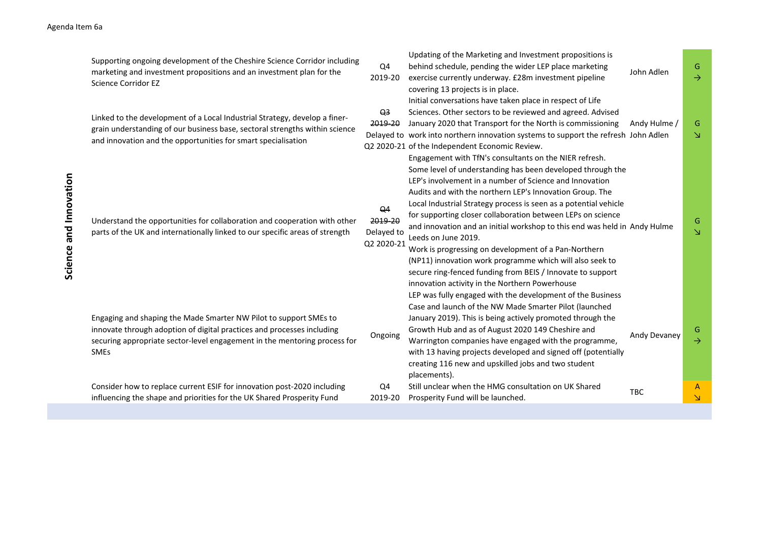| Science and Innovation | Supporting ongoing development of the Cheshire Science Corridor including<br>marketing and investment propositions and an investment plan for the<br><b>Science Corridor EZ</b>                                                         | Q4<br>2019-20                                         | Updating of the Marketing and Investment propositions is<br>behind schedule, pending the wider LEP place marketing<br>exercise currently underway. £28m investment pipeline<br>covering 13 projects is in place.                                                                                                                                                                                                                                                                                                                                                                                                                                             | John Adlen   | G<br>$\rightarrow$                      |
|------------------------|-----------------------------------------------------------------------------------------------------------------------------------------------------------------------------------------------------------------------------------------|-------------------------------------------------------|--------------------------------------------------------------------------------------------------------------------------------------------------------------------------------------------------------------------------------------------------------------------------------------------------------------------------------------------------------------------------------------------------------------------------------------------------------------------------------------------------------------------------------------------------------------------------------------------------------------------------------------------------------------|--------------|-----------------------------------------|
|                        | Linked to the development of a Local Industrial Strategy, develop a finer-<br>grain understanding of our business base, sectoral strengths within science<br>and innovation and the opportunities for smart specialisation              | Q <sub>3</sub><br>2019-20                             | Initial conversations have taken place in respect of Life<br>Sciences. Other sectors to be reviewed and agreed. Advised<br>January 2020 that Transport for the North is commissioning<br>Delayed to work into northern innovation systems to support the refresh John Adlen<br>Q2 2020-21 of the Independent Economic Review.<br>Engagement with TfN's consultants on the NIER refresh.                                                                                                                                                                                                                                                                      | Andy Hulme / | G<br>$\Delta$                           |
|                        | Understand the opportunities for collaboration and cooperation with other<br>parts of the UK and internationally linked to our specific areas of strength                                                                               | Q <sub>4</sub><br>2019-20<br>Delayed to<br>Q2 2020-21 | Some level of understanding has been developed through the<br>LEP's involvement in a number of Science and Innovation<br>Audits and with the northern LEP's Innovation Group. The<br>Local Industrial Strategy process is seen as a potential vehicle<br>for supporting closer collaboration between LEPs on science<br>and innovation and an initial workshop to this end was held in Andy Hulme<br>Leeds on June 2019.<br>Work is progressing on development of a Pan-Northern<br>(NP11) innovation work programme which will also seek to<br>secure ring-fenced funding from BEIS / Innovate to support<br>innovation activity in the Northern Powerhouse |              | G<br>$\overline{\Delta}$                |
|                        | Engaging and shaping the Made Smarter NW Pilot to support SMEs to<br>innovate through adoption of digital practices and processes including<br>securing appropriate sector-level engagement in the mentoring process for<br><b>SMEs</b> | Ongoing                                               | LEP was fully engaged with the development of the Business<br>Case and launch of the NW Made Smarter Pilot (launched<br>January 2019). This is being actively promoted through the<br>Growth Hub and as of August 2020 149 Cheshire and<br>Warrington companies have engaged with the programme,<br>with 13 having projects developed and signed off (potentially<br>creating 116 new and upskilled jobs and two student<br>placements).                                                                                                                                                                                                                     | Andy Devaney | G<br>$\rightarrow$                      |
|                        | Consider how to replace current ESIF for innovation post-2020 including<br>influencing the shape and priorities for the UK Shared Prosperity Fund                                                                                       | Q4<br>2019-20                                         | Still unclear when the HMG consultation on UK Shared<br>Prosperity Fund will be launched.                                                                                                                                                                                                                                                                                                                                                                                                                                                                                                                                                                    | <b>TBC</b>   | $\mathsf{A}$<br>$\overline{\mathsf{N}}$ |